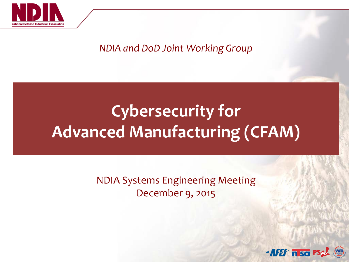

### *NDIA and DoD Joint Working Group*

# **Cybersecurity for Advanced Manufacturing (CFAM)**

NDIA Systems Engineering Meeting December 9, 2015

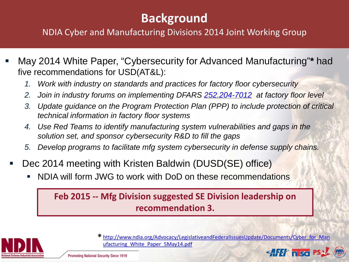## **Background**

### NDIA Cyber and Manufacturing Divisions 2014 Joint Working Group

- May 2014 White Paper, "Cybersecurity for Advanced Manufacturing"**\*** had five recommendations for USD(AT&L):
	- *1. Work with industry on standards and practices for factory floor cybersecurity*
	- *2. Join in industry forums on implementing DFARS [252.204-7012](tel:252.204-7012) at factory floor level*
	- *3. Update guidance on the Program Protection Plan (PPP) to include protection of critical technical information in factory floor systems*
	- *4. Use Red Teams to identify manufacturing system vulnerabilities and gaps in the solution set, and sponsor cybersecurity R&D to fill the gaps*
	- *5. Develop programs to facilitate mfg system cybersecurity in defense supply chains.*
- Dec 2014 meeting with Kristen Baldwin (DUSD(SE) office)
	- NDIA will form JWG to work with DoD on these recommendations

### **Feb 2015 -- Mfg Division suggested SE Division leadership on recommendation 3.**



[http://www.ndia.org/Advocacy/LegislativeandFederalIssuesUpdate/Documents/Cyber\\_for\\_Man](http://www.ndia.org/Advocacy/LegislativeandFederalIssuesUpdate/Documents/Cyber_for_Manufacturing_White_Paper_5May14.pdf) **\*** [ufacturing\\_White\\_Paper\\_5May14.pdf](http://www.ndia.org/Advocacy/LegislativeandFederalIssuesUpdate/Documents/Cyber_for_Manufacturing_White_Paper_5May14.pdf)

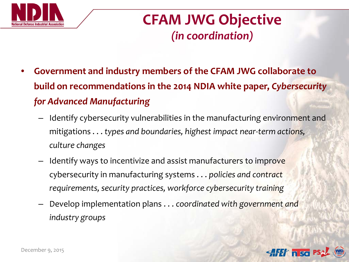

## **CFAM JWG Objective** *(in coordination)*

- **Government and industry members of the CFAM JWG collaborate to build on recommendations in the 2014 NDIA white paper,** *Cybersecurity for Advanced Manufacturing*
	- Identify cybersecurity vulnerabilities in the manufacturing environment and mitigations . . . *types and boundaries, highest impact near-term actions, culture changes*
	- Identify ways to incentivize and assist manufacturers to improve cybersecurity in manufacturing systems . . . *policies and contract requirements, security practices, workforce cybersecurity training*
	- Develop implementation plans . . . *coordinated with government and industry groups*

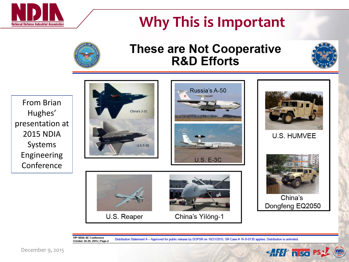

# **Why This is Important**



### **These are Not Cooperative R&D Efforts**



From Brian Hughes' presentation at 2015 NDIA Systems Engineering Conference







U.S. HUMVEE



China's Dongfeng EQ2050

AFET nisa PS

U.S. Reaper



China's Yilóng-1

18th NDIA SE Conference Distribution Statement A - Approved for public release by DOPSR on 10/21/2015, SR Case # 16-S-0130 applies. Distribution is unlimited. October 26-29, 2015 | Page-2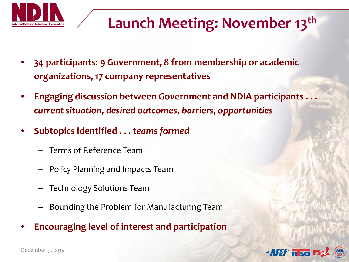

# **Launch Meeting: November 13th**

- **34 participants: 9 Government, 8 from membership or academic organizations, 17 company representatives**
- **Engaging discussion between Government and NDIA participants . . .**  *current situation, desired outcomes, barriers, opportunities*
- **Subtopics identified . . .** *teams formed*
	- Terms of Reference Team
	- Policy Planning and Impacts Team
	- Technology Solutions Team
	- Bounding the Problem for Manufacturing Team
- **Encouraging level of interest and participation**

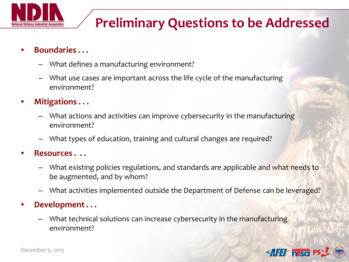

## **Preliminary Questions to be Addressed**

#### • **Boundaries . . .**

- What defines a manufacturing environment?
- What use cases are important across the life cycle of the manufacturing environment?
- **Mitigations . . .** 
	- What actions and activities can improve cybersecurity in the manufacturing environment?
	- What types of education, training and cultural changes are required?

#### • **Resources . . .**

- What existing policies regulations, and standards are applicable and what needs to be augmented, and by whom?
- What activities implemented outside the Department of Defense can be leveraged?

#### • **Development . . .**

– What technical solutions can increase cybersecurity in the manufacturing environment?



December 9, 2015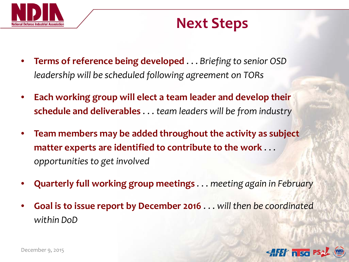

## **Next Steps**

- **Terms of reference being developed** . . . *Briefing to senior OSD leadership will be scheduled following agreement on TORs*
- **Each working group will elect a team leader and develop their schedule and deliverables** . . . *team leaders will be from industry*
- **Team members may be added throughout the activity as subject matter experts are identified to contribute to the work** . . . *opportunities to get involved*
- **Quarterly full working group meetings** . . . *meeting again in February*
- **Goal is to issue report by December 2016** . . . *will then be coordinated within DoD*